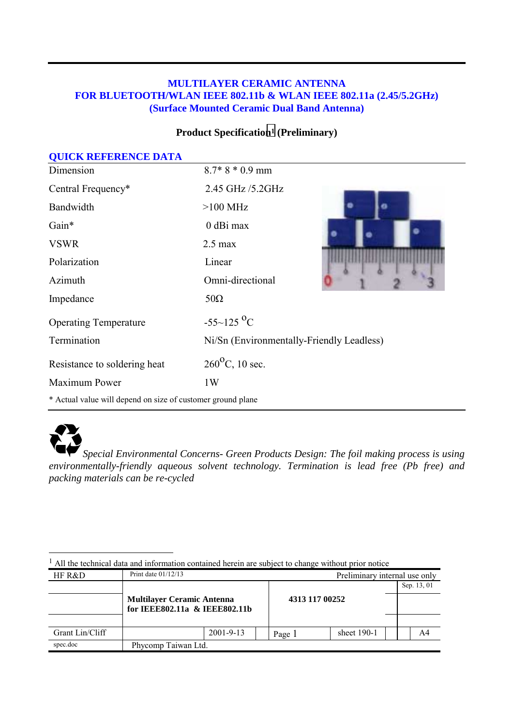#### **MULTILAYER CERAMIC ANTENNA FOR BLUETOOTH/WLAN IEEE 802.11b & WLAN IEEE 802.11a (2.45/5.2GHz) (Surface Mounted Ceramic Dual Band Antenna)**

#### **Product Specification1 (Preliminary)**

| <b>QUICK REFERENCE DATA</b>                                 |                                           |  |
|-------------------------------------------------------------|-------------------------------------------|--|
| Dimension                                                   | $8.7*8*0.9$ mm                            |  |
| Central Frequency*                                          | 2.45 GHz /5.2GHz                          |  |
| Bandwidth                                                   | $>100$ MHz                                |  |
| Gain*                                                       | $0$ dBi max                               |  |
| <b>VSWR</b>                                                 | $2.5 \text{ max}$                         |  |
| Polarization                                                | Linear                                    |  |
| Azimuth                                                     | Omni-directional                          |  |
| Impedance                                                   | $50\Omega$                                |  |
| <b>Operating Temperature</b>                                | $-55-125$ <sup>o</sup> C                  |  |
| Termination                                                 | Ni/Sn (Environmentally-Friendly Leadless) |  |
| Resistance to soldering heat                                | $260^{\circ}$ C, 10 sec.                  |  |
| Maximum Power                                               | 1W                                        |  |
| * Actual value will depend on size of customer ground plane |                                           |  |



*Special Environmental Concerns- Green Products Design: The foil making process is using environmentally-friendly aqueous solvent technology. Termination is lead free (Pb free) and packing materials can be re-cycled* 

| HF R&D          | Print date $01/12/13$                                              |                 |  |                | Preliminary internal use only |  |             |
|-----------------|--------------------------------------------------------------------|-----------------|--|----------------|-------------------------------|--|-------------|
|                 |                                                                    |                 |  | 4313 117 00252 |                               |  | Sep. 13, 01 |
|                 | <b>Multilayer Ceramic Antenna</b><br>for IEEE802.11a & IEEE802.11b |                 |  |                |                               |  |             |
|                 |                                                                    |                 |  |                |                               |  |             |
| Grant Lin/Cliff |                                                                    | $2001 - 9 - 13$ |  | Page 1         | sheet $190-1$                 |  | A4          |
| spec.doc        | Phycomp Taiwan Ltd.                                                |                 |  |                |                               |  |             |

l <sup>1</sup> All the technical data and information contained herein are subject to change without prior notice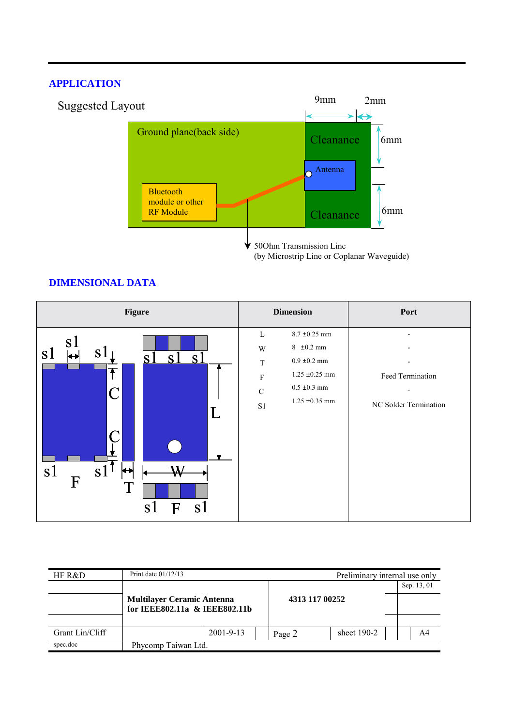#### **APPLICATION**



(by Microstrip Line or Coplanar Waveguide)

#### **DIMENSIONAL DATA**

| Figure                                                                                                                                                                  | <b>Dimension</b>                                                                                                                                                                   | Port                                      |  |  |
|-------------------------------------------------------------------------------------------------------------------------------------------------------------------------|------------------------------------------------------------------------------------------------------------------------------------------------------------------------------------|-------------------------------------------|--|--|
| s1<br>s l<br>S <sub>1</sub><br>s <sub>1</sub><br>$S^{\degree}$<br>↔<br>S J<br>$\mathcal C$<br>I<br>s <sub>1</sub><br>s1<br>$\mathbf F$<br>Ί<br><sub>S</sub><br>F<br>S l | $8.7 \pm 0.25$ mm<br>L<br>$8 \pm 0.2$ mm<br>W<br>$0.9\pm0.2$ mm<br>$\mathbf T$<br>$1.25 \pm 0.25$ mm<br>$\mathbf F$<br>$0.5\,\pm0.3$ mm<br>$\mathbf C$<br>$1.25 \pm 0.35$ mm<br>S1 | Feed Termination<br>NC Solder Termination |  |  |

| HF R&D          | Print date 01/12/13                                                |                 |  |                | Preliminary internal use only |             |    |  |
|-----------------|--------------------------------------------------------------------|-----------------|--|----------------|-------------------------------|-------------|----|--|
|                 |                                                                    |                 |  |                |                               | Sep. 13, 01 |    |  |
|                 | <b>Multilayer Ceramic Antenna</b><br>for IEEE802.11a & IEEE802.11b |                 |  | 4313 117 00252 |                               |             |    |  |
|                 |                                                                    |                 |  |                |                               |             |    |  |
| Grant Lin/Cliff |                                                                    | $2001 - 9 - 13$ |  | Page 2         | sheet $190-2$                 |             | A4 |  |
| spec.doc        | Phycomp Taiwan Ltd.                                                |                 |  |                |                               |             |    |  |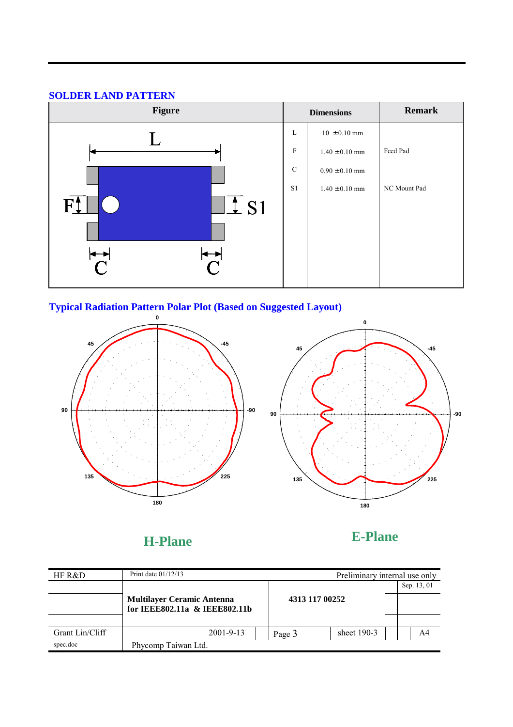### **SOLDER LAND PATTERN**



## **Typical Radiation Pattern Polar Plot (Based on Suggested Layout)**



**H-Plane** 

**E-Plane** 

| HF R&D          | Print date $01/12/13$                                              |                 |  |                | Preliminary internal use only |             |    |  |
|-----------------|--------------------------------------------------------------------|-----------------|--|----------------|-------------------------------|-------------|----|--|
|                 |                                                                    |                 |  |                |                               | Sep. 13, 01 |    |  |
|                 | <b>Multilayer Ceramic Antenna</b><br>for IEEE802.11a & IEEE802.11b |                 |  | 4313 117 00252 |                               |             |    |  |
|                 |                                                                    |                 |  |                |                               |             |    |  |
| Grant Lin/Cliff |                                                                    | $2001 - 9 - 13$ |  | Page 3         | sheet 190-3                   |             | A4 |  |
| spec.doc        | Phycomp Taiwan Ltd.                                                |                 |  |                |                               |             |    |  |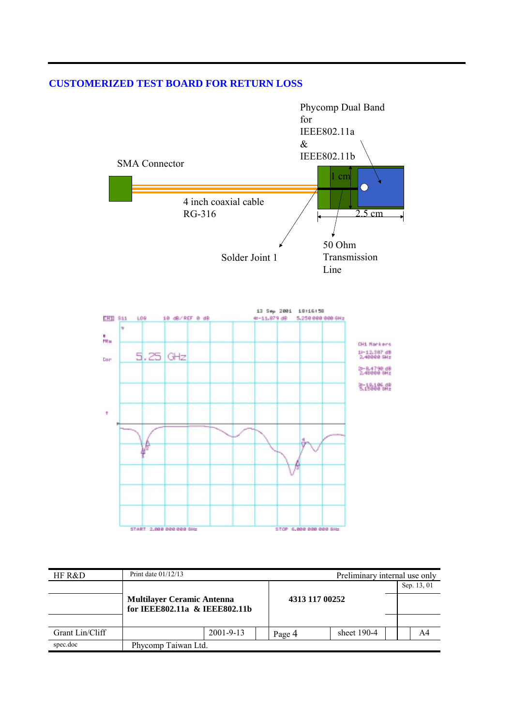#### **CUSTOMERIZED TEST BOARD FOR RETURN LOSS**



| HF R&D          | Print date $01/12/13$                                              |                 |                |        | Preliminary internal use only |             |  |    |
|-----------------|--------------------------------------------------------------------|-----------------|----------------|--------|-------------------------------|-------------|--|----|
|                 |                                                                    |                 |                |        |                               | Sep. 13, 01 |  |    |
|                 | <b>Multilayer Ceramic Antenna</b><br>for IEEE802.11a & IEEE802.11b |                 | 4313 117 00252 |        |                               |             |  |    |
|                 |                                                                    |                 |                |        |                               |             |  |    |
| Grant Lin/Cliff |                                                                    | $2001 - 9 - 13$ |                | Page 4 | sheet $190-4$                 |             |  | A4 |
| spec.doc        | Phycomp Taiwan Ltd.                                                |                 |                |        |                               |             |  |    |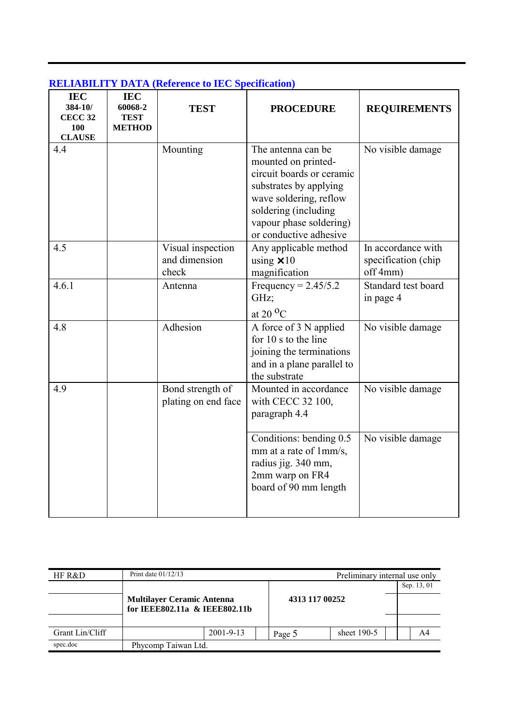| <b>IEC</b><br>384-10/<br><b>CECC 32</b><br>100<br><b>CLAUSE</b> | <b>IEC</b><br>60068-2<br><b>TEST</b><br><b>METHOD</b> | <b>TEST</b>                                 | <b>PROCEDURE</b>                                                                                                                                                                                        | <b>REQUIREMENTS</b>                                   |
|-----------------------------------------------------------------|-------------------------------------------------------|---------------------------------------------|---------------------------------------------------------------------------------------------------------------------------------------------------------------------------------------------------------|-------------------------------------------------------|
| 4.4                                                             |                                                       | Mounting                                    | The antenna can be<br>mounted on printed-<br>circuit boards or ceramic<br>substrates by applying<br>wave soldering, reflow<br>soldering (including<br>vapour phase soldering)<br>or conductive adhesive | No visible damage                                     |
| 4.5                                                             |                                                       | Visual inspection<br>and dimension<br>check | Any applicable method<br>using $\times$ 10<br>magnification                                                                                                                                             | In accordance with<br>specification (chip<br>off 4mm) |
| 4.6.1                                                           |                                                       | Antenna                                     | Frequency = $2.45/5.2$<br>GHz;<br>at 20 $^{\circ}$ C                                                                                                                                                    | Standard test board<br>in page 4                      |
| 4.8                                                             |                                                       | Adhesion                                    | A force of 3 N applied<br>for 10 s to the line<br>joining the terminations<br>and in a plane parallel to<br>the substrate                                                                               | No visible damage                                     |
| 4.9                                                             |                                                       | Bond strength of<br>plating on end face     | Mounted in accordance<br>with CECC 32 100,<br>paragraph 4.4                                                                                                                                             | No visible damage                                     |
|                                                                 |                                                       |                                             | Conditions: bending 0.5<br>mm at a rate of 1mm/s,<br>radius jig. 340 mm,<br>2mm warp on FR4<br>board of 90 mm length                                                                                    | No visible damage                                     |

# **RELIABILITY DATA (Reference to IEC Specification)**

| HF R&D          | Print date $01/12/13$                                              |                 |                |        | Preliminary internal use only |             |    |  |
|-----------------|--------------------------------------------------------------------|-----------------|----------------|--------|-------------------------------|-------------|----|--|
|                 |                                                                    |                 |                |        |                               | Sep. 13, 01 |    |  |
|                 | <b>Multilayer Ceramic Antenna</b><br>for IEEE802.11a & IEEE802.11b |                 | 4313 117 00252 |        |                               |             |    |  |
|                 |                                                                    |                 |                |        |                               |             |    |  |
| Grant Lin/Cliff |                                                                    | $2001 - 9 - 13$ |                | Page 5 | sheet $190-5$                 |             | A4 |  |
| spec.doc        | Phycomp Taiwan Ltd.                                                |                 |                |        |                               |             |    |  |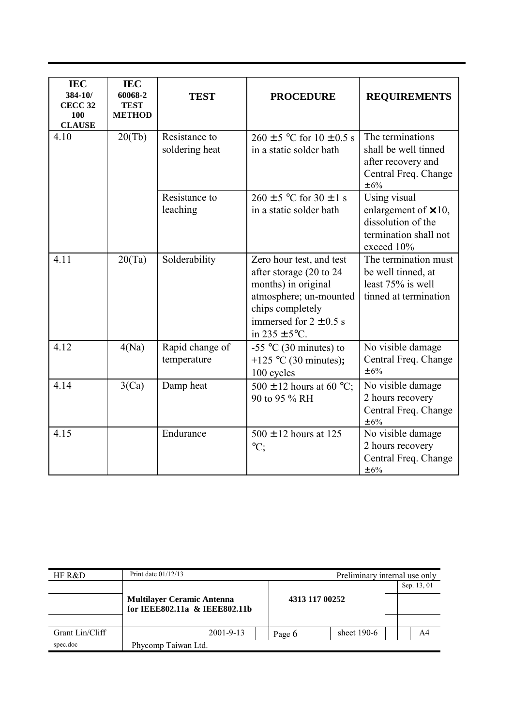| <b>IEC</b><br>384-10/<br><b>CECC 32</b><br>100<br><b>CLAUSE</b> | <b>IEC</b><br>60068-2<br><b>TEST</b><br><b>METHOD</b> | <b>TEST</b>                     | <b>PROCEDURE</b>                                                                                                                                                             | <b>REQUIREMENTS</b>                                                                                      |
|-----------------------------------------------------------------|-------------------------------------------------------|---------------------------------|------------------------------------------------------------------------------------------------------------------------------------------------------------------------------|----------------------------------------------------------------------------------------------------------|
| 4.10                                                            | 20(Tb)                                                | Resistance to<br>soldering heat | $260 \pm 5$ °C for $10 \pm 0.5$ s<br>in a static solder bath                                                                                                                 | The terminations<br>shall be well tinned<br>after recovery and<br>Central Freq. Change<br>$\pm$ 6%       |
|                                                                 |                                                       | Resistance to<br>leaching       | $260 \pm 5$ °C for $30 \pm 1$ s<br>in a static solder bath                                                                                                                   | Using visual<br>enlargement of $\times$ 10,<br>dissolution of the<br>termination shall not<br>exceed 10% |
| 4.11                                                            | 20(Ta)                                                | Solderability                   | Zero hour test, and test<br>after storage (20 to 24<br>months) in original<br>atmosphere; un-mounted<br>chips completely<br>immersed for $2 \pm 0.5$ s<br>in $235 \pm 5$ °C. | The termination must<br>be well tinned, at<br>least 75% is well<br>tinned at termination                 |
| 4.12                                                            | 4(Na)                                                 | Rapid change of<br>temperature  | -55 $\degree$ C (30 minutes) to<br>+125 °C (30 minutes);<br>100 cycles                                                                                                       | No visible damage<br>Central Freq. Change<br>$\pm 6\%$                                                   |
| 4.14                                                            | 3(Ca)                                                 | Damp heat                       | 500 $\pm$ 12 hours at 60 °C;<br>90 to 95 % RH                                                                                                                                | No visible damage<br>2 hours recovery<br>Central Freq. Change<br>$\pm$ 6%                                |
| 4.15                                                            |                                                       | Endurance                       | $500 \pm 12$ hours at 125<br>$\mathrm{^{\circ}C};$                                                                                                                           | No visible damage<br>2 hours recovery<br>Central Freq. Change<br>$\pm$ 6%                                |

| HF R&D          | Print date $01/12/13$                                              |                 |  |                | Preliminary internal use only |  |             |  |
|-----------------|--------------------------------------------------------------------|-----------------|--|----------------|-------------------------------|--|-------------|--|
|                 |                                                                    |                 |  |                |                               |  | Sep. 13, 01 |  |
|                 | <b>Multilayer Ceramic Antenna</b><br>for IEEE802.11a & IEEE802.11b |                 |  | 4313 117 00252 |                               |  |             |  |
|                 |                                                                    |                 |  |                |                               |  |             |  |
| Grant Lin/Cliff |                                                                    | $2001 - 9 - 13$ |  | Page 6         | sheet $190-6$                 |  | A4          |  |
| spec.doc        | Phycomp Taiwan Ltd.                                                |                 |  |                |                               |  |             |  |